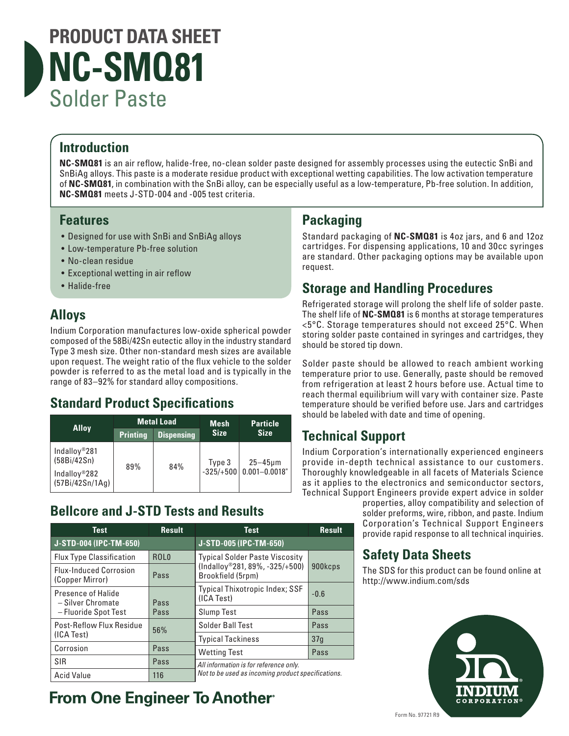

## **Introduction**

**NC-SMQ81** is an air reflow, halide-free, no-clean solder paste designed for assembly processes using the eutectic SnBi and SnBiAg alloys. This paste is a moderate residue product with exceptional wetting capabilities. The low activation temperature of **NC-SMQ81**, in combination with the SnBi alloy, can be especially useful as a low-temperature, Pb-free solution. In addition, **NC-SMQ81** meets J-STD-004 and -005 test criteria.

### **Features**

- Designed for use with SnBi and SnBiAg alloys
- Low-temperature Pb-free solution
- No-clean residue
- Exceptional wetting in air reflow
- Halide-free

### **Alloys**

Indium Corporation manufactures low-oxide spherical powder composed of the 58Bi/42Sn eutectic alloy in the industry standard Type 3 mesh size. Other non-standard mesh sizes are available upon request. The weight ratio of the flux vehicle to the solder powder is referred to as the metal load and is typically in the range of 83–92% for standard alloy compositions.

## **Standard Product Specifications**

| <b>Alloy</b>                                                                             | <b>Metal Load</b> |                   | <b>Mesh</b> | <b>Particle</b>                             |
|------------------------------------------------------------------------------------------|-------------------|-------------------|-------------|---------------------------------------------|
|                                                                                          | Printing          | <b>Dispensing</b> | <b>Size</b> | <b>Size</b>                                 |
| Indalloy <sup>®</sup> 281<br>(58Bi/42Sn)<br>Indalloy <sup>®</sup> 282<br>(57Bi/42Sn/1Ag) | 89%               | 84%               | Type 3      | $25 - 45$ um<br>$-325/+500$   0.001-0.0018" |

### **Bellcore and J-STD Tests and Results**

| <b>Test</b>                                      | <b>Result</b>     | <b>Test</b>                                           | <b>Result</b>   |  |
|--------------------------------------------------|-------------------|-------------------------------------------------------|-----------------|--|
| J-STD-004 (IPC-TM-650)                           |                   | J-STD-005 (IPC-TM-650)                                |                 |  |
| <b>Flux Type Classification</b>                  | R <sub>OL</sub> O | <b>Typical Solder Paste Viscosity</b>                 | 900kcps         |  |
| <b>Flux-Induced Corrosion</b><br>(Copper Mirror) | Pass              | $(Indallow@281,89\%, -325/+500)$<br>Brookfield (5rpm) |                 |  |
| Presence of Halide<br>- Silver Chromate          | Pass              | Typical Thixotropic Index; SSF<br>(ICA Test)          | $-0.6$          |  |
| - Fluoride Spot Test                             | Pass              | <b>Slump Test</b>                                     | Pass            |  |
| Post-Reflow Flux Residue                         | 56%               | Solder Ball Test                                      | Pass            |  |
| (ICA Test)                                       |                   | <b>Typical Tackiness</b>                              | 37 <sub>q</sub> |  |
| Corrosion                                        | Pass              | <b>Wetting Test</b>                                   | Pass            |  |
| SIR                                              | Pass              | All information is for reference only.                |                 |  |
| <b>Acid Value</b>                                | 116               | Not to be used as incoming product specifications.    |                 |  |

## **From One Engineer To Another®**

## **Packaging**

Standard packaging of **NC-SMQ81** is 4oz jars, and 6 and 12oz cartridges. For dispensing applications, 10 and 30cc syringes are standard. Other packaging options may be available upon request.

### **Storage and Handling Procedures**

Refrigerated storage will prolong the shelf life of solder paste. The shelf life of **NC-SMQ81** is 6 months at storage temperatures <5°C. Storage temperatures should not exceed 25°C. When storing solder paste contained in syringes and cartridges, they should be stored tip down.

Solder paste should be allowed to reach ambient working temperature prior to use. Generally, paste should be removed from refrigeration at least 2 hours before use. Actual time to reach thermal equilibrium will vary with container size. Paste temperature should be verified before use. Jars and cartridges should be labeled with date and time of opening.

### **Technical Support**

Indium Corporation's internationally experienced engineers provide in-depth technical assistance to our customers. Thoroughly knowledgeable in all facets of Materials Science as it applies to the electronics and semiconductor sectors, Technical Support Engineers provide expert advice in solder

> properties, alloy compatibility and selection of solder preforms, wire, ribbon, and paste. Indium Corporation's Technical Support Engineers provide rapid response to all technical inquiries.

### **Safety Data Sheets**

The SDS for this product can be found online at http://www.indium.com/sds